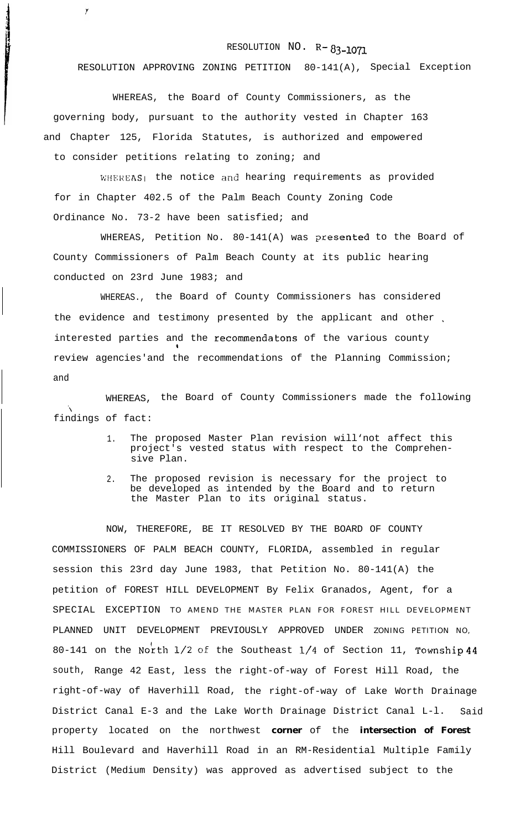## RESOLUTION NO. R-83-1071

RESOLUTION APPROVING ZONING PETITION 80-141(A), Special Exception

WHEREAS, the Board of County Commissioners, as the governing body, pursuant to the authority vested in Chapter 163 and Chapter 125, Florida Statutes, is authorized and empowered to consider petitions relating to zoning; and

y

WHEREAS<sub>I</sub> the notice and hearing requirements as provided for in Chapter 402.5 of the Palm Beach County Zoning Code Ordinance No. 73-2 have been satisfied; and

WHEREAS, Petition No. 80-141(A) was presented to the Board of County Commissioners of Palm Beach County at its public hearing conducted on 23rd June 1983; and

WHEREAS., the Board of County Commissioners has considered the evidence and testimony presented by the applicant and other interested parties and the recommendatons of the various county 1 review agencies'and the recommendations of the Planning Commission; and

WHEREAS, the Board of County Commissioners made the following  $\mathbf{v}$ findings of fact:

- 1. The proposed Master Plan revision will'not affect this project's vested status with respect to the Comprehensive Plan.
- 2. The proposed revision is necessary for the project to be developed as intended by the Board and to return the Master Plan to its original status.

NOW, THEREFORE, BE IT RESOLVED BY THE BOARD OF COUNTY COMMISSIONERS OF PALM BEACH COUNTY, FLORIDA, assembled in regular session this 23rd day June 1983, that Petition No. 80-141(A) the petition of FOREST HILL DEVELOPMENT By Felix Granados, Agent, for a SPECIAL EXCEPTION TO AMEND THE MASTER PLAN FOR FOREST HILL DEVELOPMENT PLANNED UNIT DEVELOPMENT PREVIOUSLY APPROVED UNDER ZONING PETITION NO, 80-141 on the North  $1/2$  of the Southeast  $1/4$  of Section 11, Township 44 south, Range 42 East, less the right-of-way of Forest Hill Road, the right-of-way of Haverhill Road, the right-of-way of Lake Worth Drainage District Canal E-3 and the Lake Worth Drainage District Canal L-l. Said property located on the northwest **corner** of the **intersection of Forest** Hill Boulevard and Haverhill Road in an RM-Residential Multiple Family District (Medium Density) was approved as advertised subject to the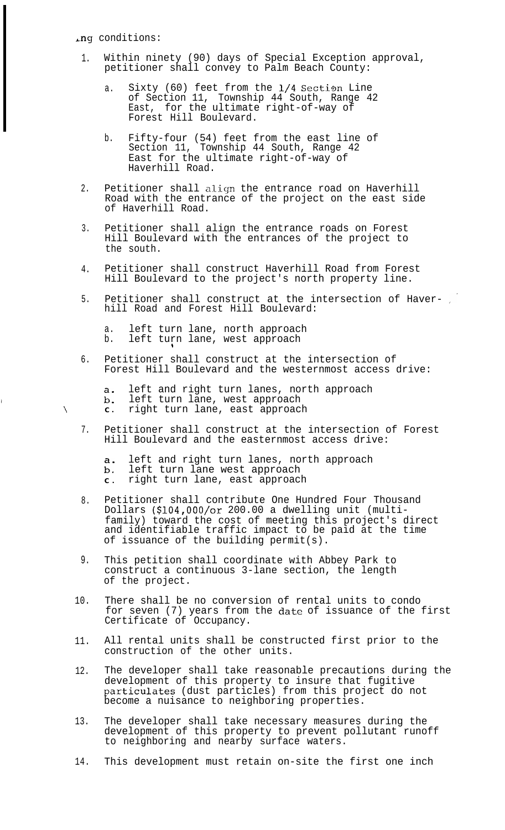,ng conditions:

 $\lambda$ 

- 1. Within ninety (90) days of Special Exception approval, petitioner shall convey to Palm Beach County:
	- a. Sixty (60) feet from the 1/4 Section Line of Section 11, Township 44 South, Range 42 East, for the ultimate right-of-way of Forest Hill Boulevard.
	- b. Fifty-four (54) feet from the east line of Section 11, Township 44 South, Range 42 East for the ultimate right-of-way of Haverhill Road.
- 2. Petitioner shall align the entrance road on Haverhill Road with the entrance of the project on the east side of Haverhill Road.
- 3. Petitioner shall align the entrance roads on Forest Hill Boulevard with the entrances of the project to the south.
- 4. Petitioner shall construct Haverhill Road from Forest Hill Boulevard to the project's north property line.
- 5. Petitioner shall construct at the intersection of Haverhill Road and Forest Hill Boulevard:
	- a. left turn lane, north approach b. left turn lane, west approach

 $\mathbf{H}$ 

6. Petitioner shall construct at the intersection of Forest Hill Boulevard and the westernmost access drive:

left and right turn lanes, north approach  $a.$ 

- $b.$ left turn lane, west approach **C .** right turn lane, east approach
- 7. Petitioner shall construct at the intersection of Forest Hill Boulevard and the easternmost access drive:

left and right turn lanes, north approach

 $\begin{matrix} a \\ b \\ c \end{matrix}$ left turn lane west approach

- **C .** right turn lane, east approach
- 8. Petitioner shall contribute One Hundred Four Thousand Dollars (\$104,00O/or 200.00 a dwelling unit (multifamily) toward the cost of meeting this project's direct and identifiable traffic impact to be paid at the time of issuance of the building permit(s).
- 9. This petition shall coordinate with Abbey Park to construct a continuous 3-lane section, the length of the project.
- 10. There shall be no conversion of rental units to condo for seven (7) years from the date of issuance of the first Certificate of Occupancy.
- 11. All rental units shall be constructed first prior to the construction of the other units.
- 12. The developer shall take reasonable precautions during the development of this property to insure that fugitive particulates (dust particles) from this project do not become a nuisance to neighboring properties.
- 13. The developer shall take necessary measures during the development of this property to prevent pollutant runoff to neighboring and nearby surface waters.
- 14. This development must retain on-site the first one inch